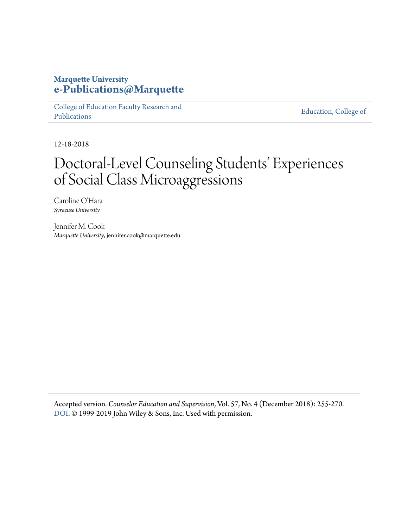## **Marquette University [e-Publications@Marquette](https://epublications.marquette.edu)**

[College of Education Faculty Research and](https://epublications.marquette.edu/edu_fac) [Publications](https://epublications.marquette.edu/edu_fac)

[Education, College of](https://epublications.marquette.edu/education)

12-18-2018

## Doctoral‐Level Counseling Students' Experiences of Social Class Microaggressions

Caroline O'Hara *Syracuse University*

Jennifer M. Cook *Marquette University*, jennifer.cook@marquette.edu

Accepted version*. Counselor Education and Supervision*, Vol. 57, No. 4 (December 2018): 255-270. [DOI](https://doi.org/10.1002/ceas.12115). © 1999-2019 John Wiley & Sons, Inc. Used with permission.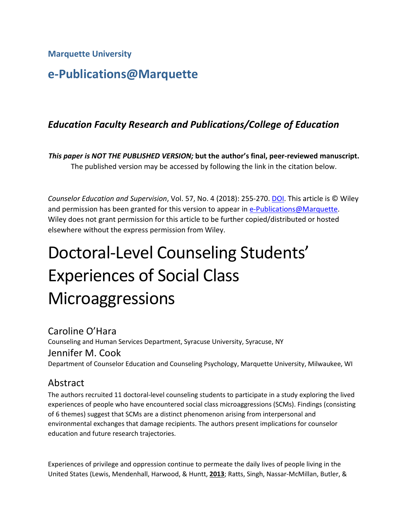**Marquette University**

## **e-Publications@Marquette**

## *Education Faculty Research and Publications/College of Education*

*This paper is NOT THE PUBLISHED VERSION;* **but the author's final, peer-reviewed manuscript.**  The published version may be accessed by following the link in the citation below.

*Counselor Education and Supervision*, Vol. 57, No. 4 (2018): 255-270. [DOI.](https://www.doi.org/10.1002/ceas.12115) This article is © Wiley and permission has been granted for this version to appear in [e-Publications@Marquette.](http://epublications.marquette.edu/) Wiley does not grant permission for this article to be further copied/distributed or hosted elsewhere without the express permission from Wiley.

# Doctoral-Level Counseling Students' Experiences of Social Class **Microaggressions**

## Caroline O'Hara

Counseling and Human Services Department, Syracuse University, Syracuse, NY

### Jennifer M. Cook

Department of Counselor Education and Counseling Psychology, Marquette University, Milwaukee, WI

## Abstract

The authors recruited 11 doctoral-level counseling students to participate in a study exploring the lived experiences of people who have encountered social class microaggressions (SCMs). Findings (consisting of 6 themes) suggest that SCMs are a distinct phenomenon arising from interpersonal and environmental exchanges that damage recipients. The authors present implications for counselor education and future research trajectories.

Experiences of privilege and oppression continue to permeate the daily lives of people living in the United States (Lewis, Mendenhall, Harwood, & Huntt, **[2013](https://onlinelibrary.wiley.com/doi/full/10.1002/ceas.12115#ceas12115-bib-0012)**; Ratts, Singh, Nassar-McMillan, Butler, &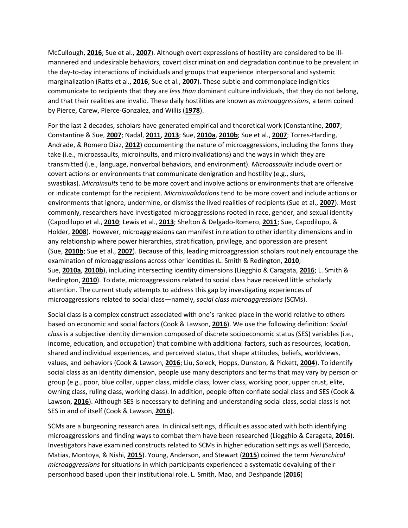McCullough, **[2016](https://onlinelibrary.wiley.com/doi/full/10.1002/ceas.12115#ceas12115-bib-0020)**; Sue et al., **[2007](https://onlinelibrary.wiley.com/doi/full/10.1002/ceas.12115#ceas12115-bib-0032)**). Although overt expressions of hostility are considered to be illmannered and undesirable behaviors, covert discrimination and degradation continue to be prevalent in the day-to-day interactions of individuals and groups that experience interpersonal and systemic marginalization (Ratts et al., **[2016](https://onlinelibrary.wiley.com/doi/full/10.1002/ceas.12115#ceas12115-bib-0020)**; Sue et al., **[2007](https://onlinelibrary.wiley.com/doi/full/10.1002/ceas.12115#ceas12115-bib-0032)**). These subtle and commonplace indignities communicate to recipients that they are *less than* dominant culture individuals, that they do not belong, and that their realities are invalid. These daily hostilities are known as *microaggressions*, a term coined by Pierce, Carew, Pierce-Gonzalez, and Willis (**[1978](https://onlinelibrary.wiley.com/doi/full/10.1002/ceas.12115#ceas12115-bib-0019)**).

For the last 2 decades, scholars have generated empirical and theoretical work (Constantine, **[2007](https://onlinelibrary.wiley.com/doi/full/10.1002/ceas.12115#ceas12115-bib-0005)**; Constantine & Sue, **[2007](https://onlinelibrary.wiley.com/doi/full/10.1002/ceas.12115#ceas12115-bib-0006)**; Nadal, **[2011](https://onlinelibrary.wiley.com/doi/full/10.1002/ceas.12115#ceas12115-bib-0015)**, **[2013](https://onlinelibrary.wiley.com/doi/full/10.1002/ceas.12115#ceas12115-bib-0016)**; Sue, **[2010a](https://onlinelibrary.wiley.com/doi/full/10.1002/ceas.12115#ceas12115-bib-0029)**, **[2010b](https://onlinelibrary.wiley.com/doi/full/10.1002/ceas.12115#ceas12115-bib-0030)**; Sue et al., **[2007](https://onlinelibrary.wiley.com/doi/full/10.1002/ceas.12115#ceas12115-bib-0032)**; Torres-Harding, Andrade, & Romero Diaz, **[2012](https://onlinelibrary.wiley.com/doi/full/10.1002/ceas.12115#ceas12115-bib-0033)**) documenting the nature of microaggressions, including the forms they take (i.e., microassaults, microinsults, and microinvalidations) and the ways in which they are transmitted (i.e., language, nonverbal behaviors, and environment). *Microassaults* include overt or covert actions or environments that communicate denigration and hostility (e.g., slurs, swastikas). *Microinsults* tend to be more covert and involve actions or environments that are offensive or indicate contempt for the recipient. *Microinvalidations* tend to be more covert and include actions or environments that ignore, undermine, or dismiss the lived realities of recipients (Sue et al., **[2007](https://onlinelibrary.wiley.com/doi/full/10.1002/ceas.12115#ceas12115-bib-0032)**). Most commonly, researchers have investigated microaggressions rooted in race, gender, and sexual identity (Capodilupo et al., **[2010](https://onlinelibrary.wiley.com/doi/full/10.1002/ceas.12115#ceas12115-bib-0004)**; Lewis et al., **[2013](https://onlinelibrary.wiley.com/doi/full/10.1002/ceas.12115#ceas12115-bib-0012)**; Shelton & Delgado-Romero, **[2011](https://onlinelibrary.wiley.com/doi/full/10.1002/ceas.12115#ceas12115-bib-0023)**; Sue, Capodilupo, & Holder, **[2008](https://onlinelibrary.wiley.com/doi/full/10.1002/ceas.12115#ceas12115-bib-0031)**). However, microaggressions can manifest in relation to other identity dimensions and in any relationship where power hierarchies, stratification, privilege, and oppression are present (Sue, **[2010b](https://onlinelibrary.wiley.com/doi/full/10.1002/ceas.12115#ceas12115-bib-0030)**; Sue et al., **[2007](https://onlinelibrary.wiley.com/doi/full/10.1002/ceas.12115#ceas12115-bib-0032)**). Because of this, leading microaggression scholars routinely encourage the examination of microaggressions across other identities (L. Smith & Redington, **[2010](https://onlinelibrary.wiley.com/doi/full/10.1002/ceas.12115#ceas12115-bib-0028)**; Sue, **[2010a](https://onlinelibrary.wiley.com/doi/full/10.1002/ceas.12115#ceas12115-bib-0029)**, **[2010b](https://onlinelibrary.wiley.com/doi/full/10.1002/ceas.12115#ceas12115-bib-0030)**), including intersecting identity dimensions (Liegghio & Caragata, **[2016](https://onlinelibrary.wiley.com/doi/full/10.1002/ceas.12115#ceas12115-bib-0013)**; L. Smith & Redington, **[2010](https://onlinelibrary.wiley.com/doi/full/10.1002/ceas.12115#ceas12115-bib-0028)**). To date, microaggressions related to social class have received little scholarly attention. The current study attempts to address this gap by investigating experiences of microaggressions related to social class—namely, *social class microaggressions* (SCMs).

Social class is a complex construct associated with one's ranked place in the world relative to others based on economic and social factors (Cook & Lawson, **[2016](https://onlinelibrary.wiley.com/doi/full/10.1002/ceas.12115#ceas12115-bib-0007)**). We use the following definition: *Social class* is a subjective identity dimension composed of discrete socioeconomic status (SES) variables (i.e., income, education, and occupation) that combine with additional factors, such as resources, location, shared and individual experiences, and perceived status, that shape attitudes, beliefs, worldviews, values, and behaviors (Cook & Lawson, **[2016](https://onlinelibrary.wiley.com/doi/full/10.1002/ceas.12115#ceas12115-bib-0007)**; Liu, Soleck, Hopps, Dunston, & Pickett, **[2004](https://onlinelibrary.wiley.com/doi/full/10.1002/ceas.12115#ceas12115-bib-0014)**). To identify social class as an identity dimension, people use many descriptors and terms that may vary by person or group (e.g., poor, blue collar, upper class, middle class, lower class, working poor, upper crust, elite, owning class, ruling class, working class). In addition, people often conflate social class and SES (Cook & Lawson, **[2016](https://onlinelibrary.wiley.com/doi/full/10.1002/ceas.12115#ceas12115-bib-0007)**). Although SES is necessary to defining and understanding social class, social class is not SES in and of itself (Cook & Lawson, **[2016](https://onlinelibrary.wiley.com/doi/full/10.1002/ceas.12115#ceas12115-bib-0007)**).

SCMs are a burgeoning research area. In clinical settings, difficulties associated with both identifying microaggressions and finding ways to combat them have been researched (Liegghio & Caragata, **[2016](https://onlinelibrary.wiley.com/doi/full/10.1002/ceas.12115#ceas12115-bib-0013)**). Investigators have examined constructs related to SCMs in higher education settings as well (Sarcedo, Matias, Montoya, & Nishi, **[2015](https://onlinelibrary.wiley.com/doi/full/10.1002/ceas.12115#ceas12115-bib-0021)**). Young, Anderson, and Stewart (**[2015](https://onlinelibrary.wiley.com/doi/full/10.1002/ceas.12115#ceas12115-bib-0034)**) coined the term *hierarchical microaggressions* for situations in which participants experienced a systematic devaluing of their personhood based upon their institutional role. L. Smith, Mao, and Deshpande (**[2016](https://onlinelibrary.wiley.com/doi/full/10.1002/ceas.12115#ceas12115-bib-0026)**)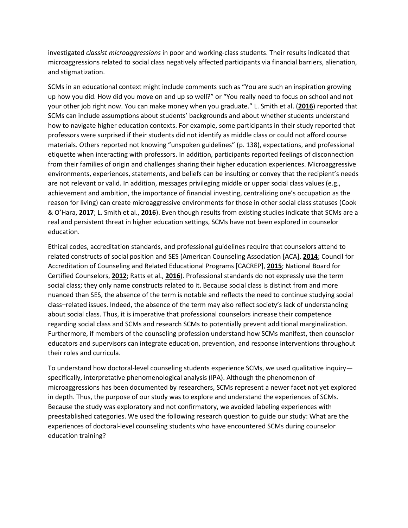investigated *classist microaggressions* in poor and working-class students. Their results indicated that microaggressions related to social class negatively affected participants via financial barriers, alienation, and stigmatization.

SCMs in an educational context might include comments such as "You are such an inspiration growing up how you did. How did you move on and up so well?" or "You really need to focus on school and not your other job right now. You can make money when you graduate." L. Smith et al. (**[2016](https://onlinelibrary.wiley.com/doi/full/10.1002/ceas.12115#ceas12115-bib-0026)**) reported that SCMs can include assumptions about students' backgrounds and about whether students understand how to navigate higher education contexts. For example, some participants in their study reported that professors were surprised if their students did not identify as middle class or could not afford course materials. Others reported not knowing "unspoken guidelines" (p. 138), expectations, and professional etiquette when interacting with professors. In addition, participants reported feelings of disconnection from their families of origin and challenges sharing their higher education experiences. Microaggressive environments, experiences, statements, and beliefs can be insulting or convey that the recipient's needs are not relevant or valid. In addition, messages privileging middle or upper social class values (e.g., achievement and ambition, the importance of financial investing, centralizing one's occupation as the reason for living) can create microaggressive environments for those in other social class statuses (Cook & O'Hara, **[2017](https://onlinelibrary.wiley.com/doi/full/10.1002/ceas.12115#ceas12115-bib-0008)**; L. Smith et al., **[2016](https://onlinelibrary.wiley.com/doi/full/10.1002/ceas.12115#ceas12115-bib-0026)**). Even though results from existing studies indicate that SCMs are a real and persistent threat in higher education settings, SCMs have not been explored in counselor education.

Ethical codes, accreditation standards, and professional guidelines require that counselors attend to related constructs of social position and SES (American Counseling Association [ACA], **[2014](https://onlinelibrary.wiley.com/doi/full/10.1002/ceas.12115#ceas12115-bib-0001)**; Council for Accreditation of Counseling and Related Educational Programs [CACREP], **[2015](https://onlinelibrary.wiley.com/doi/full/10.1002/ceas.12115#ceas12115-bib-0009)**; National Board for Certified Counselors, **[2012](https://onlinelibrary.wiley.com/doi/full/10.1002/ceas.12115#ceas12115-bib-0017)**; Ratts et al., **[2016](https://onlinelibrary.wiley.com/doi/full/10.1002/ceas.12115#ceas12115-bib-0020)**). Professional standards do not expressly use the term social class; they only name constructs related to it. Because social class is distinct from and more nuanced than SES, the absence of the term is notable and reflects the need to continue studying social class–related issues. Indeed, the absence of the term may also reflect society's lack of understanding about social class. Thus, it is imperative that professional counselors increase their competence regarding social class and SCMs and research SCMs to potentially prevent additional marginalization. Furthermore, if members of the counseling profession understand how SCMs manifest, then counselor educators and supervisors can integrate education, prevention, and response interventions throughout their roles and curricula.

To understand how doctoral-level counseling students experience SCMs, we used qualitative inquiry specifically, interpretative phenomenological analysis (IPA). Although the phenomenon of microaggressions has been documented by researchers, SCMs represent a newer facet not yet explored in depth. Thus, the purpose of our study was to explore and understand the experiences of SCMs. Because the study was exploratory and not confirmatory, we avoided labeling experiences with preestablished categories. We used the following research question to guide our study: What are the experiences of doctoral-level counseling students who have encountered SCMs during counselor education training?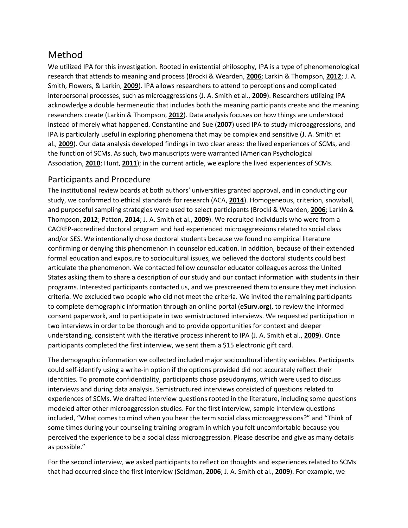## Method

We utilized IPA for this investigation. Rooted in existential philosophy, IPA is a type of phenomenological research that attends to meaning and process (Brocki & Wearden, **[2006](https://onlinelibrary.wiley.com/doi/full/10.1002/ceas.12115#ceas12115-bib-0003)**; Larkin & Thompson, **[2012](https://onlinelibrary.wiley.com/doi/full/10.1002/ceas.12115#ceas12115-bib-0011)**; J. A. Smith, Flowers, & Larkin, **[2009](https://onlinelibrary.wiley.com/doi/full/10.1002/ceas.12115#ceas12115-bib-0024)**). IPA allows researchers to attend to perceptions and complicated interpersonal processes, such as microaggressions (J. A. Smith et al., **[2009](https://onlinelibrary.wiley.com/doi/full/10.1002/ceas.12115#ceas12115-bib-0024)**). Researchers utilizing IPA acknowledge a double hermeneutic that includes both the meaning participants create and the meaning researchers create (Larkin & Thompson, **[2012](https://onlinelibrary.wiley.com/doi/full/10.1002/ceas.12115#ceas12115-bib-0011)**). Data analysis focuses on how things are understood instead of merely what happened. Constantine and Sue (**[2007](https://onlinelibrary.wiley.com/doi/full/10.1002/ceas.12115#ceas12115-bib-0006)**) used IPA to study microaggressions, and IPA is particularly useful in exploring phenomena that may be complex and sensitive (J. A. Smith et al., **[2009](https://onlinelibrary.wiley.com/doi/full/10.1002/ceas.12115#ceas12115-bib-0024)**). Our data analysis developed findings in two clear areas: the lived experiences of SCMs, and the function of SCMs. As such, two manuscripts were warranted (American Psychological Association, **[2010](https://onlinelibrary.wiley.com/doi/full/10.1002/ceas.12115#ceas12115-bib-0002)**; Hunt, **[2011](https://onlinelibrary.wiley.com/doi/full/10.1002/ceas.12115#ceas12115-bib-0010)**); in the current article, we explore the lived experiences of SCMs.

#### Participants and Procedure

The institutional review boards at both authors' universities granted approval, and in conducting our study, we conformed to ethical standards for research (ACA, **[2014](https://onlinelibrary.wiley.com/doi/full/10.1002/ceas.12115#ceas12115-bib-0001)**). Homogeneous, criterion, snowball, and purposeful sampling strategies were used to select participants (Brocki & Wearden, **[2006](https://onlinelibrary.wiley.com/doi/full/10.1002/ceas.12115#ceas12115-bib-0003)**; Larkin & Thompson, **[2012](https://onlinelibrary.wiley.com/doi/full/10.1002/ceas.12115#ceas12115-bib-0011)**; Patton, **[2014](https://onlinelibrary.wiley.com/doi/full/10.1002/ceas.12115#ceas12115-bib-0018)**; J. A. Smith et al., **[2009](https://onlinelibrary.wiley.com/doi/full/10.1002/ceas.12115#ceas12115-bib-0024)**). We recruited individuals who were from a CACREP-accredited doctoral program and had experienced microaggressions related to social class and/or SES. We intentionally chose doctoral students because we found no empirical literature confirming or denying this phenomenon in counselor education. In addition, because of their extended formal education and exposure to sociocultural issues, we believed the doctoral students could best articulate the phenomenon. We contacted fellow counselor educator colleagues across the United States asking them to share a description of our study and our contact information with students in their programs. Interested participants contacted us, and we prescreened them to ensure they met inclusion criteria. We excluded two people who did not meet the criteria. We invited the remaining participants to complete demographic information through an online portal (**[eSurv.org](http://esurv.org/)**), to review the informed consent paperwork, and to participate in two semistructured interviews. We requested participation in two interviews in order to be thorough and to provide opportunities for context and deeper understanding, consistent with the iterative process inherent to IPA (J. A. Smith et al., **[2009](https://onlinelibrary.wiley.com/doi/full/10.1002/ceas.12115#ceas12115-bib-0024)**). Once participants completed the first interview, we sent them a \$15 electronic gift card.

The demographic information we collected included major sociocultural identity variables. Participants could self-identify using a write-in option if the options provided did not accurately reflect their identities. To promote confidentiality, participants chose pseudonyms, which were used to discuss interviews and during data analysis. Semistructured interviews consisted of questions related to experiences of SCMs. We drafted interview questions rooted in the literature, including some questions modeled after other microaggression studies. For the first interview, sample interview questions included, "What comes to mind when you hear the term social class microaggressions?" and "Think of some times during your counseling training program in which you felt uncomfortable because you perceived the experience to be a social class microaggression. Please describe and give as many details as possible."

For the second interview, we asked participants to reflect on thoughts and experiences related to SCMs that had occurred since the first interview (Seidman, **[2006](https://onlinelibrary.wiley.com/doi/full/10.1002/ceas.12115#ceas12115-bib-0022)**; J. A. Smith et al., **[2009](https://onlinelibrary.wiley.com/doi/full/10.1002/ceas.12115#ceas12115-bib-0024)**). For example, we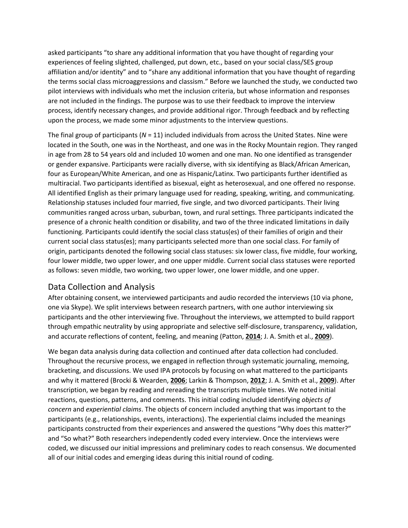asked participants "to share any additional information that you have thought of regarding your experiences of feeling slighted, challenged, put down, etc., based on your social class/SES group affiliation and/or identity" and to "share any additional information that you have thought of regarding the terms social class microaggressions and classism." Before we launched the study, we conducted two pilot interviews with individuals who met the inclusion criteria, but whose information and responses are not included in the findings. The purpose was to use their feedback to improve the interview process, identify necessary changes, and provide additional rigor. Through feedback and by reflecting upon the process, we made some minor adjustments to the interview questions.

The final group of participants (*N* = 11) included individuals from across the United States. Nine were located in the South, one was in the Northeast, and one was in the Rocky Mountain region. They ranged in age from 28 to 54 years old and included 10 women and one man. No one identified as transgender or gender expansive. Participants were racially diverse, with six identifying as Black/African American, four as European/White American, and one as Hispanic/Latinx. Two participants further identified as multiracial. Two participants identified as bisexual, eight as heterosexual, and one offered no response. All identified English as their primary language used for reading, speaking, writing, and communicating. Relationship statuses included four married, five single, and two divorced participants. Their living communities ranged across urban, suburban, town, and rural settings. Three participants indicated the presence of a chronic health condition or disability, and two of the three indicated limitations in daily functioning. Participants could identify the social class status(es) of their families of origin and their current social class status(es); many participants selected more than one social class. For family of origin, participants denoted the following social class statuses: six lower class, five middle, four working, four lower middle, two upper lower, and one upper middle. Current social class statuses were reported as follows: seven middle, two working, two upper lower, one lower middle, and one upper.

#### Data Collection and Analysis

After obtaining consent, we interviewed participants and audio recorded the interviews (10 via phone, one via Skype). We split interviews between research partners, with one author interviewing six participants and the other interviewing five. Throughout the interviews, we attempted to build rapport through empathic neutrality by using appropriate and selective self-disclosure, transparency, validation, and accurate reflections of content, feeling, and meaning (Patton, **[2014](https://onlinelibrary.wiley.com/doi/full/10.1002/ceas.12115#ceas12115-bib-0018)**; J. A. Smith et al., **[2009](https://onlinelibrary.wiley.com/doi/full/10.1002/ceas.12115#ceas12115-bib-0024)**).

We began data analysis during data collection and continued after data collection had concluded. Throughout the recursive process, we engaged in reflection through systematic journaling, memoing, bracketing, and discussions. We used IPA protocols by focusing on what mattered to the participants and why it mattered (Brocki & Wearden, **[2006](https://onlinelibrary.wiley.com/doi/full/10.1002/ceas.12115#ceas12115-bib-0003)**; Larkin & Thompson, **[2012](https://onlinelibrary.wiley.com/doi/full/10.1002/ceas.12115#ceas12115-bib-0011)**; J. A. Smith et al., **[2009](https://onlinelibrary.wiley.com/doi/full/10.1002/ceas.12115#ceas12115-bib-0024)**). After transcription, we began by reading and rereading the transcripts multiple times. We noted initial reactions, questions, patterns, and comments. This initial coding included identifying *objects of concern* and *experiential claims*. The objects of concern included anything that was important to the participants (e.g., relationships, events, interactions). The experiential claims included the meanings participants constructed from their experiences and answered the questions "Why does this matter?" and "So what?" Both researchers independently coded every interview. Once the interviews were coded, we discussed our initial impressions and preliminary codes to reach consensus. We documented all of our initial codes and emerging ideas during this initial round of coding.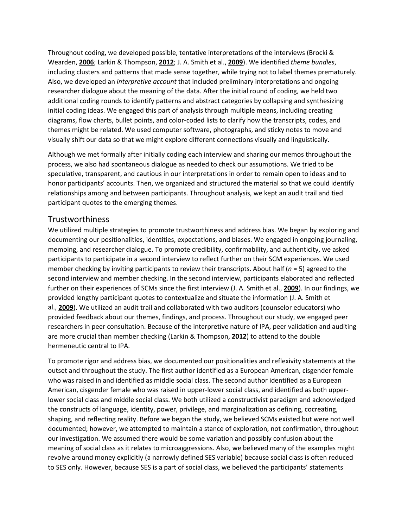Throughout coding, we developed possible, tentative interpretations of the interviews (Brocki & Wearden, **[2006](https://onlinelibrary.wiley.com/doi/full/10.1002/ceas.12115#ceas12115-bib-0003)**; Larkin & Thompson, **[2012](https://onlinelibrary.wiley.com/doi/full/10.1002/ceas.12115#ceas12115-bib-0011)**; J. A. Smith et al., **[2009](https://onlinelibrary.wiley.com/doi/full/10.1002/ceas.12115#ceas12115-bib-0024)**). We identified *theme bundles*, including clusters and patterns that made sense together, while trying not to label themes prematurely. Also, we developed an *interpretive account* that included preliminary interpretations and ongoing researcher dialogue about the meaning of the data. After the initial round of coding, we held two additional coding rounds to identify patterns and abstract categories by collapsing and synthesizing initial coding ideas. We engaged this part of analysis through multiple means, including creating diagrams, flow charts, bullet points, and color-coded lists to clarify how the transcripts, codes, and themes might be related. We used computer software, photographs, and sticky notes to move and visually shift our data so that we might explore different connections visually and linguistically.

Although we met formally after initially coding each interview and sharing our memos throughout the process, we also had spontaneous dialogue as needed to check our assumptions. We tried to be speculative, transparent, and cautious in our interpretations in order to remain open to ideas and to honor participants' accounts. Then, we organized and structured the material so that we could identify relationships among and between participants. Throughout analysis, we kept an audit trail and tied participant quotes to the emerging themes.

#### Trustworthiness

We utilized multiple strategies to promote trustworthiness and address bias. We began by exploring and documenting our positionalities, identities, expectations, and biases. We engaged in ongoing journaling, memoing, and researcher dialogue. To promote credibility, confirmability, and authenticity, we asked participants to participate in a second interview to reflect further on their SCM experiences. We used member checking by inviting participants to review their transcripts. About half (*n* = 5) agreed to the second interview and member checking. In the second interview, participants elaborated and reflected further on their experiences of SCMs since the first interview (J. A. Smith et al., **[2009](https://onlinelibrary.wiley.com/doi/full/10.1002/ceas.12115#ceas12115-bib-0024)**). In our findings, we provided lengthy participant quotes to contextualize and situate the information (J. A. Smith et al., **[2009](https://onlinelibrary.wiley.com/doi/full/10.1002/ceas.12115#ceas12115-bib-0024)**). We utilized an audit trail and collaborated with two auditors (counselor educators) who provided feedback about our themes, findings, and process. Throughout our study, we engaged peer researchers in peer consultation. Because of the interpretive nature of IPA, peer validation and auditing are more crucial than member checking (Larkin & Thompson, **[2012](https://onlinelibrary.wiley.com/doi/full/10.1002/ceas.12115#ceas12115-bib-0011)**) to attend to the double hermeneutic central to IPA.

To promote rigor and address bias, we documented our positionalities and reflexivity statements at the outset and throughout the study. The first author identified as a European American, cisgender female who was raised in and identified as middle social class. The second author identified as a European American, cisgender female who was raised in upper-lower social class, and identified as both upperlower social class and middle social class. We both utilized a constructivist paradigm and acknowledged the constructs of language, identity, power, privilege, and marginalization as defining, cocreating, shaping, and reflecting reality. Before we began the study, we believed SCMs existed but were not well documented; however, we attempted to maintain a stance of exploration, not confirmation, throughout our investigation. We assumed there would be some variation and possibly confusion about the meaning of social class as it relates to microaggressions. Also, we believed many of the examples might revolve around money explicitly (a narrowly defined SES variable) because social class is often reduced to SES only. However, because SES is a part of social class, we believed the participants' statements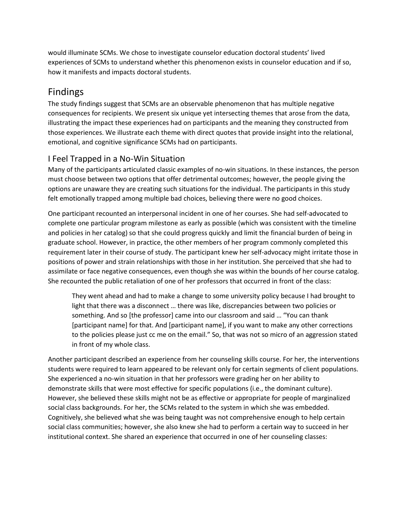would illuminate SCMs. We chose to investigate counselor education doctoral students' lived experiences of SCMs to understand whether this phenomenon exists in counselor education and if so, how it manifests and impacts doctoral students.

## Findings

The study findings suggest that SCMs are an observable phenomenon that has multiple negative consequences for recipients. We present six unique yet intersecting themes that arose from the data, illustrating the impact these experiences had on participants and the meaning they constructed from those experiences. We illustrate each theme with direct quotes that provide insight into the relational, emotional, and cognitive significance SCMs had on participants.

## I Feel Trapped in a No-Win Situation

Many of the participants articulated classic examples of no-win situations. In these instances, the person must choose between two options that offer detrimental outcomes; however, the people giving the options are unaware they are creating such situations for the individual. The participants in this study felt emotionally trapped among multiple bad choices, believing there were no good choices.

One participant recounted an interpersonal incident in one of her courses. She had self-advocated to complete one particular program milestone as early as possible (which was consistent with the timeline and policies in her catalog) so that she could progress quickly and limit the financial burden of being in graduate school. However, in practice, the other members of her program commonly completed this requirement later in their course of study. The participant knew her self-advocacy might irritate those in positions of power and strain relationships with those in her institution. She perceived that she had to assimilate or face negative consequences, even though she was within the bounds of her course catalog. She recounted the public retaliation of one of her professors that occurred in front of the class:

They went ahead and had to make a change to some university policy because I had brought to light that there was a disconnect … there was like, discrepancies between two policies or something. And so [the professor] came into our classroom and said … "You can thank [participant name] for that. And [participant name], if you want to make any other corrections to the policies please just cc me on the email." So, that was not so micro of an aggression stated in front of my whole class.

Another participant described an experience from her counseling skills course. For her, the interventions students were required to learn appeared to be relevant only for certain segments of client populations. She experienced a no-win situation in that her professors were grading her on her ability to demonstrate skills that were most effective for specific populations (i.e., the dominant culture). However, she believed these skills might not be as effective or appropriate for people of marginalized social class backgrounds. For her, the SCMs related to the system in which she was embedded. Cognitively, she believed what she was being taught was not comprehensive enough to help certain social class communities; however, she also knew she had to perform a certain way to succeed in her institutional context. She shared an experience that occurred in one of her counseling classes: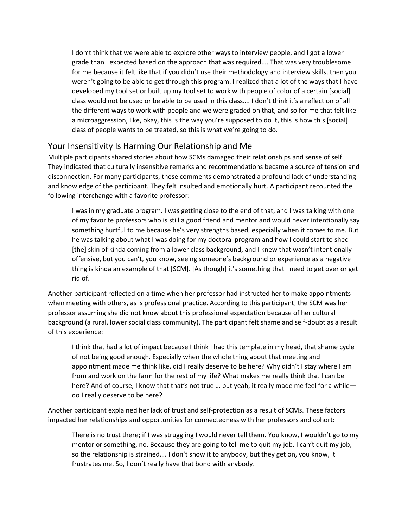I don't think that we were able to explore other ways to interview people, and I got a lower grade than I expected based on the approach that was required…. That was very troublesome for me because it felt like that if you didn't use their methodology and interview skills, then you weren't going to be able to get through this program. I realized that a lot of the ways that I have developed my tool set or built up my tool set to work with people of color of a certain [social] class would not be used or be able to be used in this class…. I don't think it's a reflection of all the different ways to work with people and we were graded on that, and so for me that felt like a microaggression, like, okay, this is the way you're supposed to do it, this is how this [social] class of people wants to be treated, so this is what we're going to do.

#### Your Insensitivity Is Harming Our Relationship and Me

Multiple participants shared stories about how SCMs damaged their relationships and sense of self. They indicated that culturally insensitive remarks and recommendations became a source of tension and disconnection. For many participants, these comments demonstrated a profound lack of understanding and knowledge of the participant. They felt insulted and emotionally hurt. A participant recounted the following interchange with a favorite professor:

I was in my graduate program. I was getting close to the end of that, and I was talking with one of my favorite professors who is still a good friend and mentor and would never intentionally say something hurtful to me because he's very strengths based, especially when it comes to me. But he was talking about what I was doing for my doctoral program and how I could start to shed [the] skin of kinda coming from a lower class background, and I knew that wasn't intentionally offensive, but you can't, you know, seeing someone's background or experience as a negative thing is kinda an example of that [SCM]. [As though] it's something that I need to get over or get rid of.

Another participant reflected on a time when her professor had instructed her to make appointments when meeting with others, as is professional practice. According to this participant, the SCM was her professor assuming she did not know about this professional expectation because of her cultural background (a rural, lower social class community). The participant felt shame and self-doubt as a result of this experience:

I think that had a lot of impact because I think I had this template in my head, that shame cycle of not being good enough. Especially when the whole thing about that meeting and appointment made me think like, did I really deserve to be here? Why didn't I stay where I am from and work on the farm for the rest of my life? What makes me really think that I can be here? And of course, I know that that's not true ... but yeah, it really made me feel for a whiledo I really deserve to be here?

Another participant explained her lack of trust and self-protection as a result of SCMs. These factors impacted her relationships and opportunities for connectedness with her professors and cohort:

There is no trust there; if I was struggling I would never tell them. You know, I wouldn't go to my mentor or something, no. Because they are going to tell me to quit my job. I can't quit my job, so the relationship is strained…. I don't show it to anybody, but they get on, you know, it frustrates me. So, I don't really have that bond with anybody.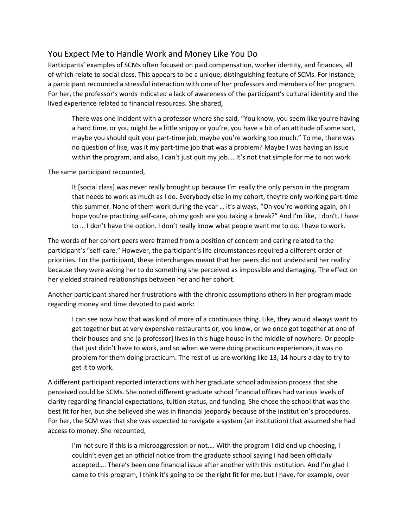#### You Expect Me to Handle Work and Money Like You Do

Participants' examples of SCMs often focused on paid compensation, worker identity, and finances, all of which relate to social class. This appears to be a unique, distinguishing feature of SCMs. For instance, a participant recounted a stressful interaction with one of her professors and members of her program. For her, the professor's words indicated a lack of awareness of the participant's cultural identity and the lived experience related to financial resources. She shared,

There was one incident with a professor where she said, "You know, you seem like you're having a hard time, or you might be a little snippy or you're, you have a bit of an attitude of some sort, maybe you should quit your part-time job, maybe you're working too much." To me, there was no question of like, was it my part-time job that was a problem? Maybe I was having an issue within the program, and also, I can't just quit my job.... It's not that simple for me to not work.

The same participant recounted,

It [social class] was never really brought up because I'm really the only person in the program that needs to work as much as I do. Everybody else in my cohort, they're only working part-time this summer. None of them work during the year … it's always, "Oh you're working again, oh I hope you're practicing self-care, oh my gosh are you taking a break?" And I'm like, I don't, I have to … I don't have the option. I don't really know what people want me to do. I have to work.

The words of her cohort peers were framed from a position of concern and caring related to the participant's "self-care." However, the participant's life circumstances required a different order of priorities. For the participant, these interchanges meant that her peers did not understand her reality because they were asking her to do something she perceived as impossible and damaging. The effect on her yielded strained relationships between her and her cohort.

Another participant shared her frustrations with the chronic assumptions others in her program made regarding money and time devoted to paid work:

I can see now how that was kind of more of a continuous thing. Like, they would always want to get together but at very expensive restaurants or, you know, or we once got together at one of their houses and she [a professor] lives in this huge house in the middle of nowhere. Or people that just didn't have to work, and so when we were doing practicum experiences, it was no problem for them doing practicum. The rest of us are working like 13, 14 hours a day to try to get it to work.

A different participant reported interactions with her graduate school admission process that she perceived could be SCMs. She noted different graduate school financial offices had various levels of clarity regarding financial expectations, tuition status, and funding. She chose the school that was the best fit for her, but she believed she was in financial jeopardy because of the institution's procedures. For her, the SCM was that she was expected to navigate a system (an institution) that assumed she had access to money. She recounted,

I'm not sure if this is a microaggression or not.... With the program I did end up choosing, I couldn't even get an official notice from the graduate school saying I had been officially accepted…. There's been one financial issue after another with this institution. And I'm glad I came to this program, I think it's going to be the right fit for me, but I have, for example, over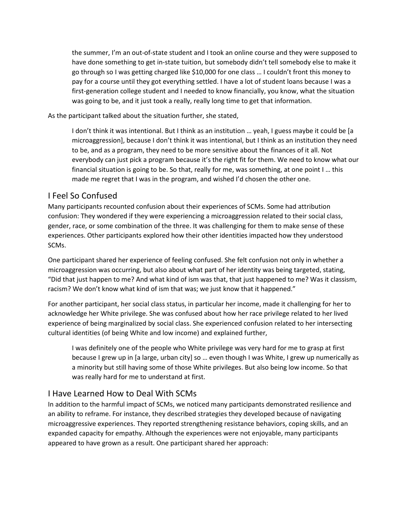the summer, I'm an out-of-state student and I took an online course and they were supposed to have done something to get in-state tuition, but somebody didn't tell somebody else to make it go through so I was getting charged like \$10,000 for one class … I couldn't front this money to pay for a course until they got everything settled. I have a lot of student loans because I was a first-generation college student and I needed to know financially, you know, what the situation was going to be, and it just took a really, really long time to get that information.

As the participant talked about the situation further, she stated,

I don't think it was intentional. But I think as an institution … yeah, I guess maybe it could be [a microaggression], because I don't think it was intentional, but I think as an institution they need to be, and as a program, they need to be more sensitive about the finances of it all. Not everybody can just pick a program because it's the right fit for them. We need to know what our financial situation is going to be. So that, really for me, was something, at one point I … this made me regret that I was in the program, and wished I'd chosen the other one.

#### I Feel So Confused

Many participants recounted confusion about their experiences of SCMs. Some had attribution confusion: They wondered if they were experiencing a microaggression related to their social class, gender, race, or some combination of the three. It was challenging for them to make sense of these experiences. Other participants explored how their other identities impacted how they understood SCMs.

One participant shared her experience of feeling confused. She felt confusion not only in whether a microaggression was occurring, but also about what part of her identity was being targeted, stating, "Did that just happen to me? And what kind of ism was that, that just happened to me? Was it classism, racism? We don't know what kind of ism that was; we just know that it happened."

For another participant, her social class status, in particular her income, made it challenging for her to acknowledge her White privilege. She was confused about how her race privilege related to her lived experience of being marginalized by social class. She experienced confusion related to her intersecting cultural identities (of being White and low income) and explained further,

I was definitely one of the people who White privilege was very hard for me to grasp at first because I grew up in [a large, urban city] so … even though I was White, I grew up numerically as a minority but still having some of those White privileges. But also being low income. So that was really hard for me to understand at first.

#### I Have Learned How to Deal With SCMs

In addition to the harmful impact of SCMs, we noticed many participants demonstrated resilience and an ability to reframe. For instance, they described strategies they developed because of navigating microaggressive experiences. They reported strengthening resistance behaviors, coping skills, and an expanded capacity for empathy. Although the experiences were not enjoyable, many participants appeared to have grown as a result. One participant shared her approach: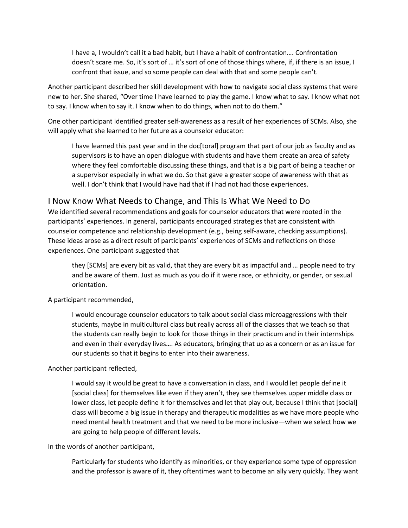I have a, I wouldn't call it a bad habit, but I have a habit of confrontation…. Confrontation doesn't scare me. So, it's sort of … it's sort of one of those things where, if, if there is an issue, I confront that issue, and so some people can deal with that and some people can't.

Another participant described her skill development with how to navigate social class systems that were new to her. She shared, "Over time I have learned to play the game. I know what to say. I know what not to say. I know when to say it. I know when to do things, when not to do them."

One other participant identified greater self-awareness as a result of her experiences of SCMs. Also, she will apply what she learned to her future as a counselor educator:

I have learned this past year and in the doc[toral] program that part of our job as faculty and as supervisors is to have an open dialogue with students and have them create an area of safety where they feel comfortable discussing these things, and that is a big part of being a teacher or a supervisor especially in what we do. So that gave a greater scope of awareness with that as well. I don't think that I would have had that if I had not had those experiences.

## I Now Know What Needs to Change, and This Is What We Need to Do

We identified several recommendations and goals for counselor educators that were rooted in the participants' experiences. In general, participants encouraged strategies that are consistent with counselor competence and relationship development (e.g., being self-aware, checking assumptions). These ideas arose as a direct result of participants' experiences of SCMs and reflections on those experiences. One participant suggested that

they [SCMs] are every bit as valid, that they are every bit as impactful and … people need to try and be aware of them. Just as much as you do if it were race, or ethnicity, or gender, or sexual orientation.

A participant recommended,

I would encourage counselor educators to talk about social class microaggressions with their students, maybe in multicultural class but really across all of the classes that we teach so that the students can really begin to look for those things in their practicum and in their internships and even in their everyday lives…. As educators, bringing that up as a concern or as an issue for our students so that it begins to enter into their awareness.

#### Another participant reflected,

I would say it would be great to have a conversation in class, and I would let people define it [social class] for themselves like even if they aren't, they see themselves upper middle class or lower class, let people define it for themselves and let that play out, because I think that [social] class will become a big issue in therapy and therapeutic modalities as we have more people who need mental health treatment and that we need to be more inclusive—when we select how we are going to help people of different levels.

#### In the words of another participant,

Particularly for students who identify as minorities, or they experience some type of oppression and the professor is aware of it, they oftentimes want to become an ally very quickly. They want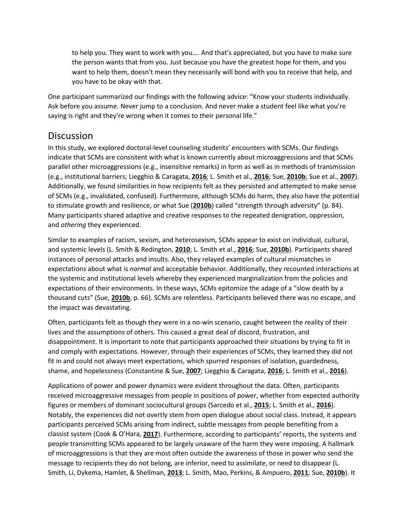to help you. They want to work with you…. And that's appreciated, but you have to make sure the person wants that from you. Just because you have the greatest hope for them, and you want to help them, doesn't mean they necessarily will bond with you to receive that help, and you have to be okay with that.

One participant summarized our findings with the following advice: "Know your students individually. Ask before you assume. Never jump to a conclusion. And never make a student feel like what you're saying is right and they're wrong when it comes to their personal life."

## **Discussion**

In this study, we explored doctoral-level counseling students' encounters with SCMs. Our findings indicate that SCMs are consistent with what is known currently about microaggressions and that SCMs parallel other microaggressions (e.g., insensitive remarks) in form as well as in methods of transmission (e.g., institutional barriers; Liegghio & Caragata, **[2016](https://onlinelibrary.wiley.com/doi/full/10.1002/ceas.12115#ceas12115-bib-0013)**; L. Smith et al., **[2016](https://onlinelibrary.wiley.com/doi/full/10.1002/ceas.12115#ceas12115-bib-0026)**; Sue, **[2010b](https://onlinelibrary.wiley.com/doi/full/10.1002/ceas.12115#ceas12115-bib-0030)**; Sue et al., **[2007](https://onlinelibrary.wiley.com/doi/full/10.1002/ceas.12115#ceas12115-bib-0032)**). Additionally, we found similarities in how recipients felt as they persisted and attempted to make sense of SCMs (e.g., invalidated, confused). Furthermore, although SCMs do harm, they also have the potential to stimulate growth and resilience, or what Sue (**[2010b](https://onlinelibrary.wiley.com/doi/full/10.1002/ceas.12115#ceas12115-bib-0030)**) called "strength through adversity" (p. 84). Many participants shared adaptive and creative responses to the repeated denigration, oppression, and *othering* they experienced.

Similar to examples of racism, sexism, and heterosexism, SCMs appear to exist on individual, cultural, and systemic levels (L. Smith & Redington, **[2010](https://onlinelibrary.wiley.com/doi/full/10.1002/ceas.12115#ceas12115-bib-0028)**; L. Smith et al., **[2016](https://onlinelibrary.wiley.com/doi/full/10.1002/ceas.12115#ceas12115-bib-0026)**; Sue, **[2010b](https://onlinelibrary.wiley.com/doi/full/10.1002/ceas.12115#ceas12115-bib-0030)**). Participants shared instances of personal attacks and insults. Also, they relayed examples of cultural mismatches in expectations about what is *normal* and acceptable behavior. Additionally, they recounted interactions at the systemic and institutional levels whereby they experienced marginalization from the policies and expectations of their environments. In these ways, SCMs epitomize the adage of a "slow death by a thousand cuts" (Sue, **[2010b](https://onlinelibrary.wiley.com/doi/full/10.1002/ceas.12115#ceas12115-bib-0030)**, p. 66). SCMs are relentless. Participants believed there was no escape, and the impact was devastating.

Often, participants felt as though they were in a no-win scenario, caught between the reality of their lives and the assumptions of others. This caused a great deal of discord, frustration, and disappointment. It is important to note that participants approached their situations by trying to fit in and comply with expectations. However, through their experiences of SCMs, they learned they did not fit in and could not always meet expectations, which spurred responses of isolation, guardedness, shame, and hopelessness (Constantine & Sue, **[2007](https://onlinelibrary.wiley.com/doi/full/10.1002/ceas.12115#ceas12115-bib-0006)**; Liegghio & Caragata, **[2016](https://onlinelibrary.wiley.com/doi/full/10.1002/ceas.12115#ceas12115-bib-0013)**; L. Smith et al., **[2016](https://onlinelibrary.wiley.com/doi/full/10.1002/ceas.12115#ceas12115-bib-0026)**).

Applications of power and power dynamics were evident throughout the data. Often, participants received microaggressive messages from people in positions of power, whether from expected authority figures or members of dominant sociocultural groups (Sarcedo et al., **[2015](https://onlinelibrary.wiley.com/doi/full/10.1002/ceas.12115#ceas12115-bib-0021)**; L. Smith et al., **[2016](https://onlinelibrary.wiley.com/doi/full/10.1002/ceas.12115#ceas12115-bib-0026)**). Notably, the experiences did not overtly stem from open dialogue about social class. Instead, it appears participants perceived SCMs arising from indirect, subtle messages from people benefiting from a classist system (Cook & O'Hara, **[2017](https://onlinelibrary.wiley.com/doi/full/10.1002/ceas.12115#ceas12115-bib-0008)**). Furthermore, according to participants' reports, the systems and people transmitting SCMs appeared to be largely unaware of the harm they were imposing. A hallmark of microaggressions is that they are most often outside the awareness of those in power who send the message to recipients they do not belong, are inferior, need to assimilate, or need to disappear (L. Smith, Li, Dykema, Hamlet, & Shellman, **[2013](https://onlinelibrary.wiley.com/doi/full/10.1002/ceas.12115#ceas12115-bib-0025)**; L. Smith, Mao, Perkins, & Ampuero, **[2011](https://onlinelibrary.wiley.com/doi/full/10.1002/ceas.12115#ceas12115-bib-0027)**; Sue, **[2010b](https://onlinelibrary.wiley.com/doi/full/10.1002/ceas.12115#ceas12115-bib-0030)**). It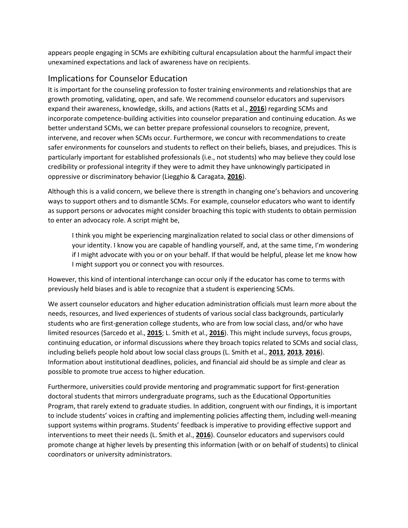appears people engaging in SCMs are exhibiting cultural encapsulation about the harmful impact their unexamined expectations and lack of awareness have on recipients.

#### Implications for Counselor Education

It is important for the counseling profession to foster training environments and relationships that are growth promoting, validating, open, and safe. We recommend counselor educators and supervisors expand their awareness, knowledge, skills, and actions (Ratts et al., **[2016](https://onlinelibrary.wiley.com/doi/full/10.1002/ceas.12115#ceas12115-bib-0020)**) regarding SCMs and incorporate competence-building activities into counselor preparation and continuing education. As we better understand SCMs, we can better prepare professional counselors to recognize, prevent, intervene, and recover when SCMs occur. Furthermore, we concur with recommendations to create safer environments for counselors and students to reflect on their beliefs, biases, and prejudices. This is particularly important for established professionals (i.e., not students) who may believe they could lose credibility or professional integrity if they were to admit they have unknowingly participated in oppressive or discriminatory behavior (Liegghio & Caragata, **[2016](https://onlinelibrary.wiley.com/doi/full/10.1002/ceas.12115#ceas12115-bib-0013)**).

Although this is a valid concern, we believe there is strength in changing one's behaviors and uncovering ways to support others and to dismantle SCMs. For example, counselor educators who want to identify as support persons or advocates might consider broaching this topic with students to obtain permission to enter an advocacy role. A script might be,

I think you might be experiencing marginalization related to social class or other dimensions of your identity. I know you are capable of handling yourself, and, at the same time, I'm wondering if I might advocate with you or on your behalf. If that would be helpful, please let me know how I might support you or connect you with resources.

However, this kind of intentional interchange can occur only if the educator has come to terms with previously held biases and is able to recognize that a student is experiencing SCMs.

We assert counselor educators and higher education administration officials must learn more about the needs, resources, and lived experiences of students of various social class backgrounds, particularly students who are first-generation college students, who are from low social class, and/or who have limited resources (Sarcedo et al., **[2015](https://onlinelibrary.wiley.com/doi/full/10.1002/ceas.12115#ceas12115-bib-0021)**; L. Smith et al., **[2016](https://onlinelibrary.wiley.com/doi/full/10.1002/ceas.12115#ceas12115-bib-0026)**). This might include surveys, focus groups, continuing education, or informal discussions where they broach topics related to SCMs and social class, including beliefs people hold about low social class groups (L. Smith et al., **[2011](https://onlinelibrary.wiley.com/doi/full/10.1002/ceas.12115#ceas12115-bib-0027)**, **[2013](https://onlinelibrary.wiley.com/doi/full/10.1002/ceas.12115#ceas12115-bib-0025)**, **[2016](https://onlinelibrary.wiley.com/doi/full/10.1002/ceas.12115#ceas12115-bib-0026)**). Information about institutional deadlines, policies, and financial aid should be as simple and clear as possible to promote true access to higher education.

Furthermore, universities could provide mentoring and programmatic support for first-generation doctoral students that mirrors undergraduate programs, such as the Educational Opportunities Program, that rarely extend to graduate studies. In addition, congruent with our findings, it is important to include students' voices in crafting and implementing policies affecting them, including well-meaning support systems within programs. Students' feedback is imperative to providing effective support and interventions to meet their needs (L. Smith et al., **[2016](https://onlinelibrary.wiley.com/doi/full/10.1002/ceas.12115#ceas12115-bib-0026)**). Counselor educators and supervisors could promote change at higher levels by presenting this information (with or on behalf of students) to clinical coordinators or university administrators.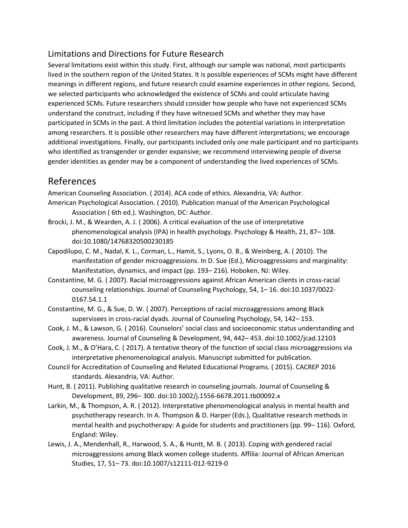## Limitations and Directions for Future Research

Several limitations exist within this study. First, although our sample was national, most participants lived in the southern region of the United States. It is possible experiences of SCMs might have different meanings in different regions, and future research could examine experiences in other regions. Second, we selected participants who acknowledged the existence of SCMs and could articulate having experienced SCMs. Future researchers should consider how people who have not experienced SCMs understand the construct, including if they have witnessed SCMs and whether they may have participated in SCMs in the past. A third limitation includes the potential variations in interpretation among researchers. It is possible other researchers may have different interpretations; we encourage additional investigations. Finally, our participants included only one male participant and no participants who identified as transgender or gender expansive; we recommend interviewing people of diverse gender identities as gender may be a component of understanding the lived experiences of SCMs.

## References

American Counseling Association. ( 2014). ACA code of ethics. Alexandria, VA: Author.

- American Psychological Association. ( 2010). Publication manual of the American Psychological Association ( 6th ed.). Washington, DC: Author.
- Brocki, J. M., & Wearden, A. J. ( 2006). A critical evaluation of the use of interpretative phenomenological analysis (IPA) in health psychology. Psychology & Health, 21, 87– 108. doi:10.1080/14768320500230185
- Capodilupo, C. M., Nadal, K. L., Corman, L., Hamit, S., Lyons, O. B., & Weinberg, A. ( 2010). The manifestation of gender microaggressions. In D. Sue (Ed.), Microaggressions and marginality: Manifestation, dynamics, and impact (pp. 193– 216). Hoboken, NJ: Wiley.
- Constantine, M. G. ( 2007). Racial microaggressions against African American clients in cross-racial counseling relationships. Journal of Counseling Psychology, 54, 1– 16. doi:10.1037/0022- 0167.54.1.1
- Constantine, M. G., & Sue, D. W. ( 2007). Perceptions of racial microaggressions among Black supervisees in cross-racial dyads. Journal of Counseling Psychology, 54, 142– 153.
- Cook, J. M., & Lawson, G. ( 2016). Counselors' social class and socioeconomic status understanding and awareness. Journal of Counseling & Development, 94, 442– 453. doi:10.1002/jcad.12103
- Cook, J. M., & O'Hara, C. ( 2017). A tentative theory of the function of social class microaggressions via interpretative phenomenological analysis. Manuscript submitted for publication.
- Council for Accreditation of Counseling and Related Educational Programs. ( 2015). CACREP 2016 standards. Alexandria, VA: Author.
- Hunt, B. ( 2011). Publishing qualitative research in counseling journals. Journal of Counseling & Development, 89, 296– 300. doi:10.1002/j.1556-6678.2011.tb00092.x
- Larkin, M., & Thompson, A. R. ( 2012). Interpretative phenomenological analysis in mental health and psychotherapy research. In A. Thompson & D. Harper (Eds.), Qualitative research methods in mental health and psychotherapy: A guide for students and practitioners (pp. 99– 116). Oxford, England: Wiley.
- Lewis, J. A., Mendenhall, R., Harwood, S. A., & Huntt, M. B. ( 2013). Coping with gendered racial microaggressions among Black women college students. Affilia: Journal of African American Studies, 17, 51– 73. doi:10.1007/s12111-012-9219-0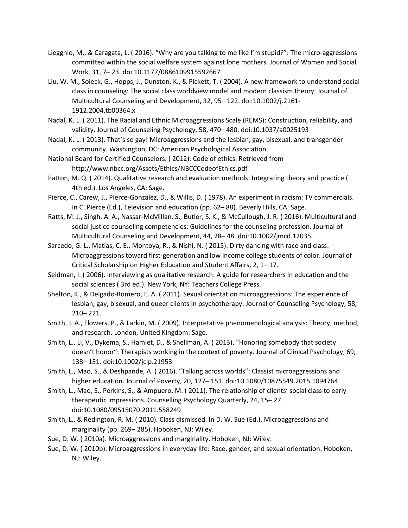- Liegghio, M., & Caragata, L. ( 2016). "Why are you talking to me like I'm stupid?": The micro-aggressions committed within the social welfare system against lone mothers. Journal of Women and Social Work, 31, 7– 23. doi:10.1177/0886109915592667
- Liu, W. M., Soleck, G., Hopps, J., Dunston, K., & Pickett, T. ( 2004). A new framework to understand social class in counseling: The social class worldview model and modern classism theory. Journal of Multicultural Counseling and Development, 32, 95– 122. doi:10.1002/j.2161- 1912.2004.tb00364.x
- Nadal, K. L. ( 2011). The Racial and Ethnic Microaggressions Scale (REMS): Construction, reliability, and validity. Journal of Counseling Psychology, 58, 470– 480. doi:10.1037/a0025193
- Nadal, K. L. ( 2013). That's so gay! Microaggressions and the lesbian, gay, bisexual, and transgender community. Washington, DC: American Psychological Association.
- National Board for Certified Counselors. ( 2012). Code of ethics. Retrieved from http://www.nbcc.org/Assets/Ethics/NBCCCodeofEthics.pdf
- Patton, M. Q. ( 2014). Qualitative research and evaluation methods: Integrating theory and practice ( 4th ed.). Los Angeles, CA: Sage.
- Pierce, C., Carew, J., Pierce-Gonzalez, D., & Willis, D. ( 1978). An experiment in racism: TV commercials. In C. Pierce (Ed.), Television and education (pp. 62– 88). Beverly Hills, CA: Sage.
- Ratts, M. J., Singh, A. A., Nassar-McMillan, S., Butler, S. K., & McCullough, J. R. ( 2016). Multicultural and social justice counseling competencies: Guidelines for the counseling profession. Journal of Multicultural Counseling and Development, 44, 28– 48. doi:10.1002/jmcd.12035
- Sarcedo, G. L., Matias, C. E., Montoya, R., & Nishi, N. ( 2015). Dirty dancing with race and class: Microaggressions toward first-generation and low income college students of color. Journal of Critical Scholarship on Higher Education and Student Affairs, 2, 1– 17.
- Seidman, I. ( 2006). Interviewing as qualitative research: A guide for researchers in education and the social sciences ( 3rd ed.). New York, NY: Teachers College Press.
- Shelton, K., & Delgado-Romero, E. A. ( 2011). Sexual orientation microaggressions: The experience of lesbian, gay, bisexual, and queer clients in psychotherapy. Journal of Counseling Psychology, 58, 210– 221.
- Smith, J. A., Flowers, P., & Larkin, M. ( 2009). Interpretative phenomenological analysis: Theory, method, and research. London, United Kingdom: Sage.
- Smith, L., Li, V., Dykema, S., Hamlet, D., & Shellman, A. ( 2013). "Honoring somebody that society doesn't honor": Therapists working in the context of poverty. Journal of Clinical Psychology, 69, 138– 151. doi:10.1002/jclp.21953
- Smith, L., Mao, S., & Deshpande, A. ( 2016). "Talking across worlds": Classist microaggressions and higher education. Journal of Poverty, 20, 127– 151. doi:10.1080/10875549.2015.1094764
- Smith, L., Mao, S., Perkins, S., & Ampuero, M. ( 2011). The relationship of clients' social class to early therapeutic impressions. Counselling Psychology Quarterly, 24, 15– 27. doi:10.1080/09515070.2011.558249
- Smith, L., & Redington, R. M. ( 2010). Class dismissed. In D. W. Sue (Ed.), Microaggressions and marginality (pp. 269– 285). Hoboken, NJ: Wiley.
- Sue, D. W. ( 2010a). Microaggressions and marginality. Hoboken, NJ: Wiley.
- Sue, D. W. ( 2010b). Microaggressions in everyday life: Race, gender, and sexual orientation. Hoboken, NJ: Wiley.